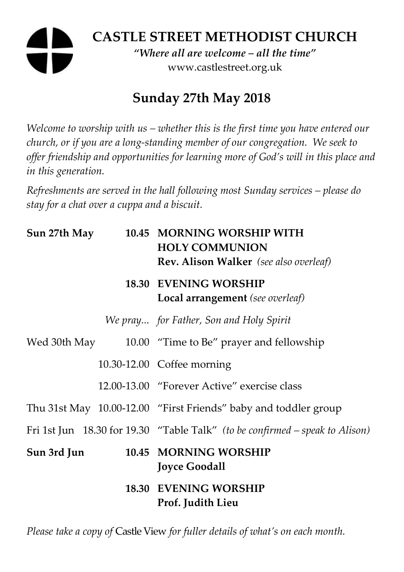## **CASTLE STREET METHODIST CHURCH**  *"Where all are welcome – all the time"*  www.castlestreet.org.uk

# **Sunday 27th May 2018**

*Welcome to worship with us – whether this is the first time you have entered our church, or if you are a long-standing member of our congregation. We seek to offer friendship and opportunities for learning more of God's will in this place and in this generation.* 

*Refreshments are served in the hall following most Sunday services – please do stay for a chat over a cuppa and a biscuit.* 

| Sun 27th May | 10.45 MORNING WORSHIP WITH<br><b>HOLY COMMUNION</b><br><b>Rev. Alison Walker</b> (see also overleaf) |
|--------------|------------------------------------------------------------------------------------------------------|
|              | <b>18.30 EVENING WORSHIP</b><br>Local arrangement (see overleaf)                                     |
|              | We pray for Father, Son and Holy Spirit                                                              |
|              | Wed 30th May 10.00 "Time to Be" prayer and fellowship                                                |
|              | 10.30-12.00 Coffee morning                                                                           |
|              | 12.00-13.00 "Forever Active" exercise class                                                          |
|              | Thu 31st May 10.00-12.00 "First Friends" baby and toddler group                                      |
|              | Fri 1st Jun 18.30 for 19.30 "Table Talk" (to be confirmed – speak to Alison)                         |
| Sun 3rd Jun  | 10.45 MORNING WORSHIP<br><b>Joyce Goodall</b>                                                        |
|              | <b>18.30 EVENING WORSHIP</b><br>Prof. Judith Lieu                                                    |

*Please take a copy of* Castle View *for fuller details of what's on each month.*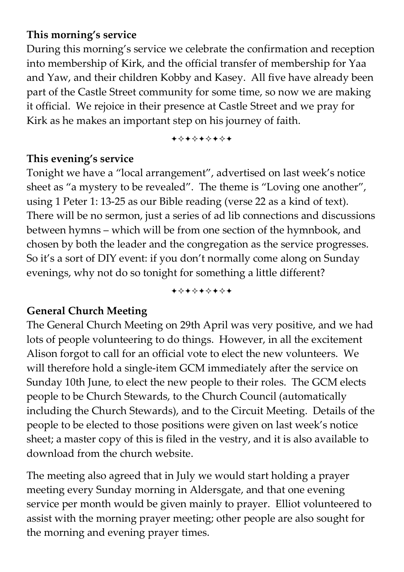#### **This morning's service**

During this morning's service we celebrate the confirmation and reception into membership of Kirk, and the official transfer of membership for Yaa and Yaw, and their children Kobby and Kasey. All five have already been part of the Castle Street community for some time, so now we are making it official. We rejoice in their presence at Castle Street and we pray for Kirk as he makes an important step on his journey of faith.

+\*\*\*\*\*\*\*

#### **This evening's service**

Tonight we have a "local arrangement", advertised on last week's notice sheet as "a mystery to be revealed". The theme is "Loving one another", using 1 Peter 1: 13-25 as our Bible reading (verse 22 as a kind of text). There will be no sermon, just a series of ad lib connections and discussions between hymns – which will be from one section of the hymnbook, and chosen by both the leader and the congregation as the service progresses. So it's a sort of DIY event: if you don't normally come along on Sunday evenings, why not do so tonight for something a little different?

+\*+\*\*\*\*+

#### **General Church Meeting**

The General Church Meeting on 29th April was very positive, and we had lots of people volunteering to do things. However, in all the excitement Alison forgot to call for an official vote to elect the new volunteers. We will therefore hold a single-item GCM immediately after the service on Sunday 10th June, to elect the new people to their roles. The GCM elects people to be Church Stewards, to the Church Council (automatically including the Church Stewards), and to the Circuit Meeting. Details of the people to be elected to those positions were given on last week's notice sheet; a master copy of this is filed in the vestry, and it is also available to download from the church website.

The meeting also agreed that in July we would start holding a prayer meeting every Sunday morning in Aldersgate, and that one evening service per month would be given mainly to prayer. Elliot volunteered to assist with the morning prayer meeting; other people are also sought for the morning and evening prayer times.